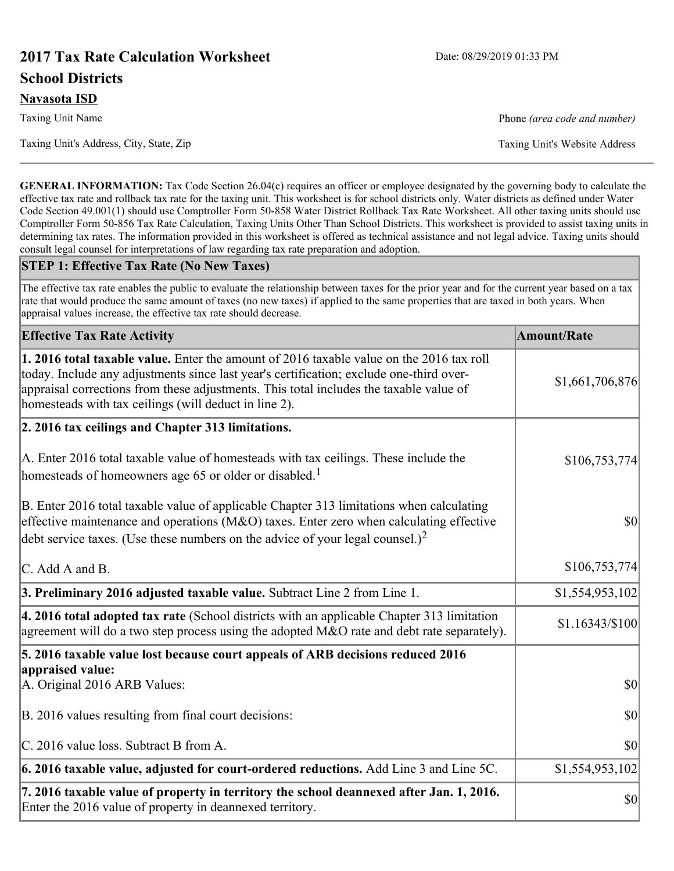# **2017 Tax Rate Calculation Worksheet** Date: 08/29/2019 01:33 PM **School Districts**

Taxing Unit Name **Phone** *(area code and number)* Phone *(area code and number)* 

**GENERAL INFORMATION:** Tax Code Section 26.04(c) requires an officer or employee designated by the governing body to calculate the effective tax rate and rollback tax rate for the taxing unit. This worksheet is for school districts only. Water districts as defined under Water Code Section 49.001(1) should use Comptroller Form 50-858 Water District Rollback Tax Rate Worksheet. All other taxing units should use Comptroller Form 50-856 Tax Rate Calculation, Taxing Units Other Than School Districts. This worksheet is provided to assist taxing units in determining tax rates. The information provided in this worksheet is offered as technical assistance and not legal advice. Taxing units should consult legal counsel for interpretations of law regarding tax rate preparation and adoption.

#### **STEP 1: Effective Tax Rate (No New Taxes)**

The effective tax rate enables the public to evaluate the relationship between taxes for the prior year and for the current year based on a tax rate that would produce the same amount of taxes (no new taxes) if applied to the same properties that are taxed in both years. When appraisal values increase, the effective tax rate should decrease.

| <b>Effective Tax Rate Activity</b>                                                                                                                                                                                                                                                                                                     | <b>Amount/Rate</b> |
|----------------------------------------------------------------------------------------------------------------------------------------------------------------------------------------------------------------------------------------------------------------------------------------------------------------------------------------|--------------------|
| 1. 2016 total taxable value. Enter the amount of 2016 taxable value on the 2016 tax roll<br>today. Include any adjustments since last year's certification; exclude one-third over-<br>appraisal corrections from these adjustments. This total includes the taxable value of<br>homesteads with tax ceilings (will deduct in line 2). | \$1,661,706,876    |
| 2. 2016 tax ceilings and Chapter 313 limitations.                                                                                                                                                                                                                                                                                      |                    |
| A. Enter 2016 total taxable value of homesteads with tax ceilings. These include the<br>homesteads of homeowners age 65 or older or disabled. <sup>1</sup>                                                                                                                                                                             | \$106,753,774      |
| B. Enter 2016 total taxable value of applicable Chapter 313 limitations when calculating<br>effective maintenance and operations ( $M&O$ ) taxes. Enter zero when calculating effective<br>debt service taxes. (Use these numbers on the advice of your legal counsel.) <sup>2</sup>                                                   | $ 10\rangle$       |
| C. Add A and B.                                                                                                                                                                                                                                                                                                                        | \$106,753,774      |
| 3. Preliminary 2016 adjusted taxable value. Subtract Line 2 from Line 1.                                                                                                                                                                                                                                                               | \$1,554,953,102    |
| 4. 2016 total adopted tax rate (School districts with an applicable Chapter 313 limitation<br>agreement will do a two step process using the adopted M&O rate and debt rate separately).                                                                                                                                               | \$1.16343/\$100    |
| 5. 2016 taxable value lost because court appeals of ARB decisions reduced 2016                                                                                                                                                                                                                                                         |                    |
| appraised value:<br>A. Original 2016 ARB Values:                                                                                                                                                                                                                                                                                       | $ 10\rangle$       |
| B. 2016 values resulting from final court decisions:                                                                                                                                                                                                                                                                                   | $ 10\rangle$       |
| C. 2016 value loss. Subtract B from A.                                                                                                                                                                                                                                                                                                 | \$0                |
| $\vert$ 6. 2016 taxable value, adjusted for court-ordered reductions. Add Line 3 and Line 5C.                                                                                                                                                                                                                                          | \$1,554,953,102    |
| 7. 2016 taxable value of property in territory the school deannexed after Jan. 1, 2016.<br>Enter the 2016 value of property in deannexed territory.                                                                                                                                                                                    | \$0                |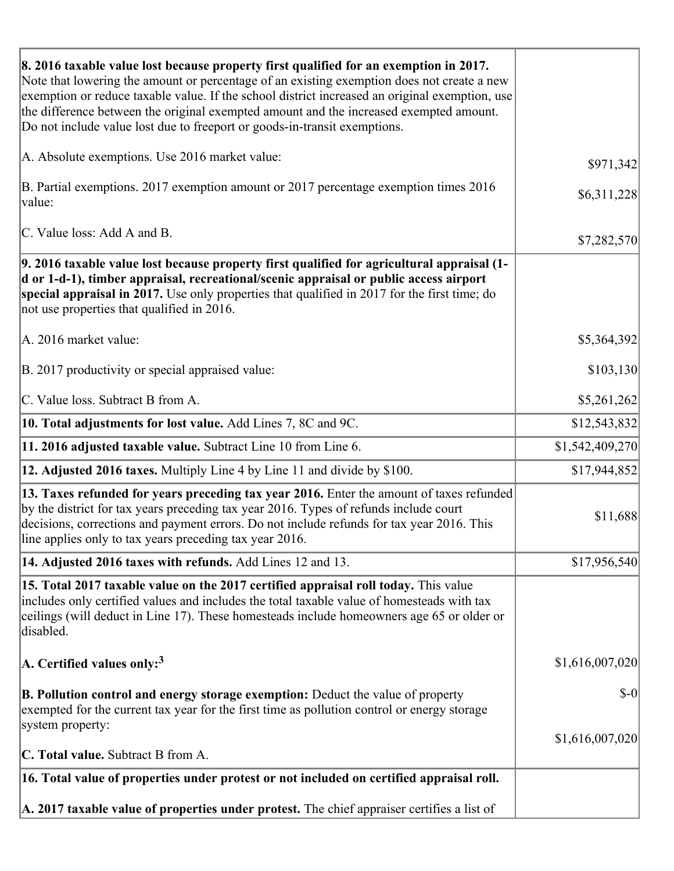| 8. 2016 taxable value lost because property first qualified for an exemption in 2017.<br>Note that lowering the amount or percentage of an existing exemption does not create a new<br>exemption or reduce taxable value. If the school district increased an original exemption, use<br>the difference between the original exempted amount and the increased exempted amount. |                 |
|---------------------------------------------------------------------------------------------------------------------------------------------------------------------------------------------------------------------------------------------------------------------------------------------------------------------------------------------------------------------------------|-----------------|
| Do not include value lost due to freeport or goods-in-transit exemptions.                                                                                                                                                                                                                                                                                                       |                 |
| A. Absolute exemptions. Use 2016 market value:                                                                                                                                                                                                                                                                                                                                  | \$971,342       |
| B. Partial exemptions. 2017 exemption amount or 2017 percentage exemption times 2016<br>value:                                                                                                                                                                                                                                                                                  | \$6,311,228     |
| C. Value loss: Add A and B.                                                                                                                                                                                                                                                                                                                                                     | \$7,282,570     |
| 9. 2016 taxable value lost because property first qualified for agricultural appraisal (1-<br>d or 1-d-1), timber appraisal, recreational/scenic appraisal or public access airport<br>special appraisal in 2017. Use only properties that qualified in 2017 for the first time; do<br>not use properties that qualified in 2016.                                               |                 |
| A. 2016 market value:                                                                                                                                                                                                                                                                                                                                                           | \$5,364,392     |
| B. 2017 productivity or special appraised value:                                                                                                                                                                                                                                                                                                                                | \$103,130       |
| C. Value loss. Subtract B from A.                                                                                                                                                                                                                                                                                                                                               | \$5,261,262     |
| 10. Total adjustments for lost value. Add Lines 7, 8C and 9C.                                                                                                                                                                                                                                                                                                                   | \$12,543,832    |
| 11. 2016 adjusted taxable value. Subtract Line 10 from Line 6.                                                                                                                                                                                                                                                                                                                  | \$1,542,409,270 |
| <b>12. Adjusted 2016 taxes.</b> Multiply Line 4 by Line 11 and divide by \$100.                                                                                                                                                                                                                                                                                                 | \$17,944,852    |
| [13. Taxes refunded for years preceding tax year 2016. Enter the amount of taxes refunded]<br>by the district for tax years preceding tax year 2016. Types of refunds include court<br>decisions, corrections and payment errors. Do not include refunds for tax year 2016. This<br>line applies only to tax years preceding tax year 2016.                                     | \$11,688        |
| 14. Adjusted 2016 taxes with refunds. Add Lines 12 and 13.                                                                                                                                                                                                                                                                                                                      | \$17,956,540    |
| 15. Total 2017 taxable value on the 2017 certified appraisal roll today. This value<br>includes only certified values and includes the total taxable value of homesteads with tax<br>ceilings (will deduct in Line 17). These homesteads include homeowners age 65 or older or<br>disabled.                                                                                     |                 |
| A. Certified values only: <sup>3</sup>                                                                                                                                                                                                                                                                                                                                          | \$1,616,007,020 |
| <b>B. Pollution control and energy storage exemption:</b> Deduct the value of property<br>exempted for the current tax year for the first time as pollution control or energy storage<br>system property:                                                                                                                                                                       | $\delta$ -0     |
|                                                                                                                                                                                                                                                                                                                                                                                 | \$1,616,007,020 |
| <b>C. Total value.</b> Subtract B from A.                                                                                                                                                                                                                                                                                                                                       |                 |
| 16. Total value of properties under protest or not included on certified appraisal roll.                                                                                                                                                                                                                                                                                        |                 |
| A. 2017 taxable value of properties under protest. The chief appraiser certifies a list of                                                                                                                                                                                                                                                                                      |                 |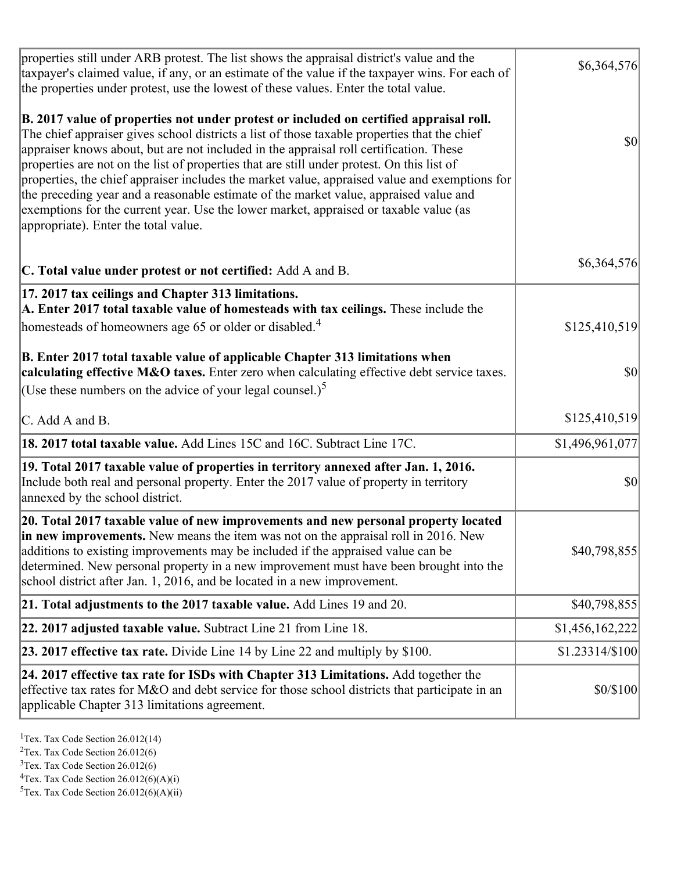| properties still under ARB protest. The list shows the appraisal district's value and the<br>taxpayer's claimed value, if any, or an estimate of the value if the taxpayer wins. For each of<br>the properties under protest, use the lowest of these values. Enter the total value.                                                                                                                                                                                                                                                                                                                                                                                                                      | \$6,364,576     |
|-----------------------------------------------------------------------------------------------------------------------------------------------------------------------------------------------------------------------------------------------------------------------------------------------------------------------------------------------------------------------------------------------------------------------------------------------------------------------------------------------------------------------------------------------------------------------------------------------------------------------------------------------------------------------------------------------------------|-----------------|
| B. 2017 value of properties not under protest or included on certified appraisal roll.<br>The chief appraiser gives school districts a list of those taxable properties that the chief<br>appraiser knows about, but are not included in the appraisal roll certification. These<br>properties are not on the list of properties that are still under protest. On this list of<br>properties, the chief appraiser includes the market value, appraised value and exemptions for<br>the preceding year and a reasonable estimate of the market value, appraised value and<br>exemptions for the current year. Use the lower market, appraised or taxable value (as<br>appropriate). Enter the total value. | <b>\$0</b>      |
| C. Total value under protest or not certified: Add A and B.                                                                                                                                                                                                                                                                                                                                                                                                                                                                                                                                                                                                                                               | \$6,364,576     |
| 17. 2017 tax ceilings and Chapter 313 limitations.<br>A. Enter 2017 total taxable value of homesteads with tax ceilings. These include the<br>homesteads of homeowners age 65 or older or disabled. <sup>4</sup>                                                                                                                                                                                                                                                                                                                                                                                                                                                                                          | \$125,410,519   |
| B. Enter 2017 total taxable value of applicable Chapter 313 limitations when<br>calculating effective M&O taxes. Enter zero when calculating effective debt service taxes.<br>(Use these numbers on the advice of your legal counsel.) <sup>5</sup>                                                                                                                                                                                                                                                                                                                                                                                                                                                       | $ 10\rangle$    |
| C. Add A and B.                                                                                                                                                                                                                                                                                                                                                                                                                                                                                                                                                                                                                                                                                           | \$125,410,519   |
| 18. 2017 total taxable value. Add Lines 15C and 16C. Subtract Line 17C.                                                                                                                                                                                                                                                                                                                                                                                                                                                                                                                                                                                                                                   | \$1,496,961,077 |
| 19. Total 2017 taxable value of properties in territory annexed after Jan. 1, 2016.<br>Include both real and personal property. Enter the 2017 value of property in territory<br>annexed by the school district.                                                                                                                                                                                                                                                                                                                                                                                                                                                                                          | 30              |
| 20. Total 2017 taxable value of new improvements and new personal property located<br>in new improvements. New means the item was not on the appraisal roll in 2016. New<br>additions to existing improvements may be included if the appraised value can be<br>determined. New personal property in a new improvement must have been brought into the<br>school district after Jan. 1, 2016, and be located in a new improvement.                                                                                                                                                                                                                                                                        | \$40,798,855    |
| 21. Total adjustments to the 2017 taxable value. Add Lines 19 and 20.                                                                                                                                                                                                                                                                                                                                                                                                                                                                                                                                                                                                                                     | \$40,798,855    |
| $ 22.2017$ adjusted taxable value. Subtract Line 21 from Line 18.                                                                                                                                                                                                                                                                                                                                                                                                                                                                                                                                                                                                                                         | \$1,456,162,222 |
| <b>23. 2017 effective tax rate.</b> Divide Line 14 by Line 22 and multiply by \$100.                                                                                                                                                                                                                                                                                                                                                                                                                                                                                                                                                                                                                      | \$1.23314/\$100 |
| 24. 2017 effective tax rate for ISDs with Chapter 313 Limitations. Add together the<br>effective tax rates for M&O and debt service for those school districts that participate in an<br>applicable Chapter 313 limitations agreement.                                                                                                                                                                                                                                                                                                                                                                                                                                                                    | \$0/\$100       |

<sup>1</sup>Tex. Tax Code Section  $26.012(14)$ 

<sup>2</sup>Tex. Tax Code Section 26.012(6)

 $3$ Tex. Tax Code Section 26.012(6)

 ${}^{4}$ Tex. Tax Code Section 26.012(6)(A)(i)

 ${}^{5}$ Tex. Tax Code Section 26.012(6)(A)(ii)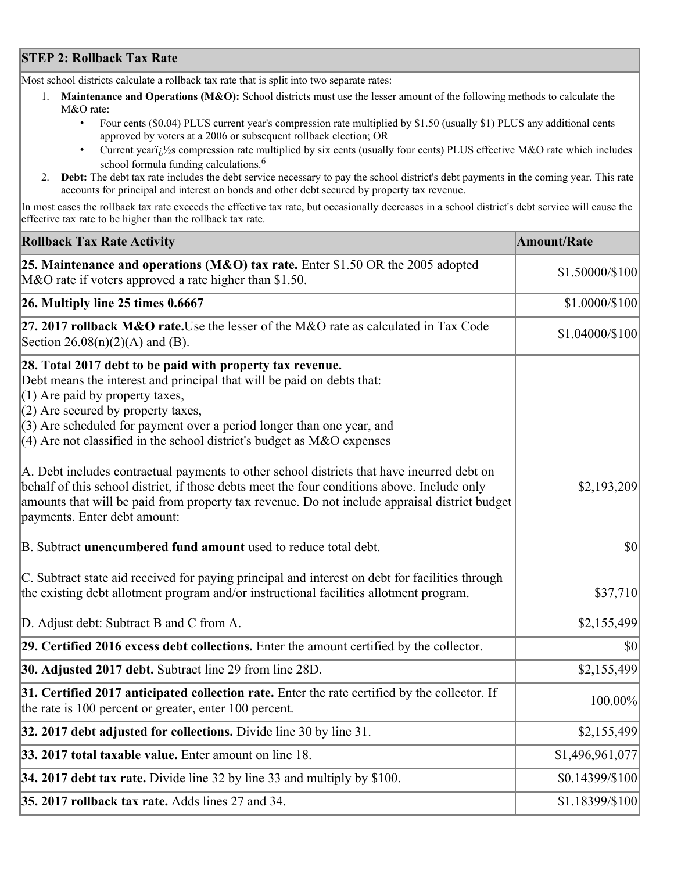## **STEP 2: Rollback Tax Rate**

Most school districts calculate a rollback tax rate that is split into two separate rates:

- 1. **Maintenance and Operations (M&O):** School districts must use the lesser amount of the following methods to calculate the M&O rate:
	- Four cents (\$0.04) PLUS current year's compression rate multiplied by \$1.50 (usually \$1) PLUS any additional cents approved by voters at a 2006 or subsequent rollback election; OR
	- Current year $i/\frac{1}{2}$ s compression rate multiplied by six cents (usually four cents) PLUS effective M&O rate which includes school formula funding calculations.<sup>6</sup>
- 2. **Debt:** The debt tax rate includes the debt service necessary to pay the school district's debt payments in the coming year. This rate accounts for principal and interest on bonds and other debt secured by property tax revenue.

In most cases the rollback tax rate exceeds the effective tax rate, but occasionally decreases in a school district's debt service will cause the effective tax rate to be higher than the rollback tax rate.

| <b>Rollback Tax Rate Activity</b>                                                                                                                                                                                                                                                                                                                                       | <b>Amount/Rate</b> |
|-------------------------------------------------------------------------------------------------------------------------------------------------------------------------------------------------------------------------------------------------------------------------------------------------------------------------------------------------------------------------|--------------------|
| 25. Maintenance and operations (M&O) tax rate. Enter \$1.50 OR the 2005 adopted<br>M&O rate if voters approved a rate higher than \$1.50.                                                                                                                                                                                                                               | \$1.50000/\$100    |
| $26.$ Multiply line 25 times $0.6667$                                                                                                                                                                                                                                                                                                                                   | \$1.0000/\$100     |
| 27. 2017 rollback M&O rate. Use the lesser of the M&O rate as calculated in Tax Code<br>Section 26.08(n)(2)(A) and (B).                                                                                                                                                                                                                                                 | \$1.04000/\$100    |
| 28. Total 2017 debt to be paid with property tax revenue.<br>Debt means the interest and principal that will be paid on debts that:<br>$(1)$ Are paid by property taxes,<br>$(2)$ Are secured by property taxes,<br>$(3)$ Are scheduled for payment over a period longer than one year, and<br>$(4)$ Are not classified in the school district's budget as M&O expenses |                    |
| A. Debt includes contractual payments to other school districts that have incurred debt on<br>behalf of this school district, if those debts meet the four conditions above. Include only<br>amounts that will be paid from property tax revenue. Do not include appraisal district budget<br>payments. Enter debt amount:                                              | \$2,193,209        |
| B. Subtract unencumbered fund amount used to reduce total debt.                                                                                                                                                                                                                                                                                                         | $ 10\rangle$       |
| C. Subtract state aid received for paying principal and interest on debt for facilities through<br>the existing debt allotment program and/or instructional facilities allotment program.                                                                                                                                                                               | \$37,710           |
| D. Adjust debt: Subtract B and C from A.                                                                                                                                                                                                                                                                                                                                | \$2,155,499        |
| 29. Certified 2016 excess debt collections. Enter the amount certified by the collector.                                                                                                                                                                                                                                                                                | $ 10\rangle$       |
| <b>30. Adjusted 2017 debt.</b> Subtract line 29 from line 28D.                                                                                                                                                                                                                                                                                                          | \$2,155,499        |
| 31. Certified 2017 anticipated collection rate. Enter the rate certified by the collector. If<br>the rate is 100 percent or greater, enter 100 percent.                                                                                                                                                                                                                 | $100.00\%$         |
| 32. 2017 debt adjusted for collections. Divide line 30 by line 31.                                                                                                                                                                                                                                                                                                      | \$2,155,499        |
| 33. 2017 total taxable value. Enter amount on line 18.                                                                                                                                                                                                                                                                                                                  | \$1,496,961,077    |
| 34. 2017 debt tax rate. Divide line 32 by line 33 and multiply by $$100$ .                                                                                                                                                                                                                                                                                              | \$0.14399/\$100    |
| 35. 2017 rollback tax rate. Adds lines 27 and 34.                                                                                                                                                                                                                                                                                                                       | \$1.18399/\$100    |